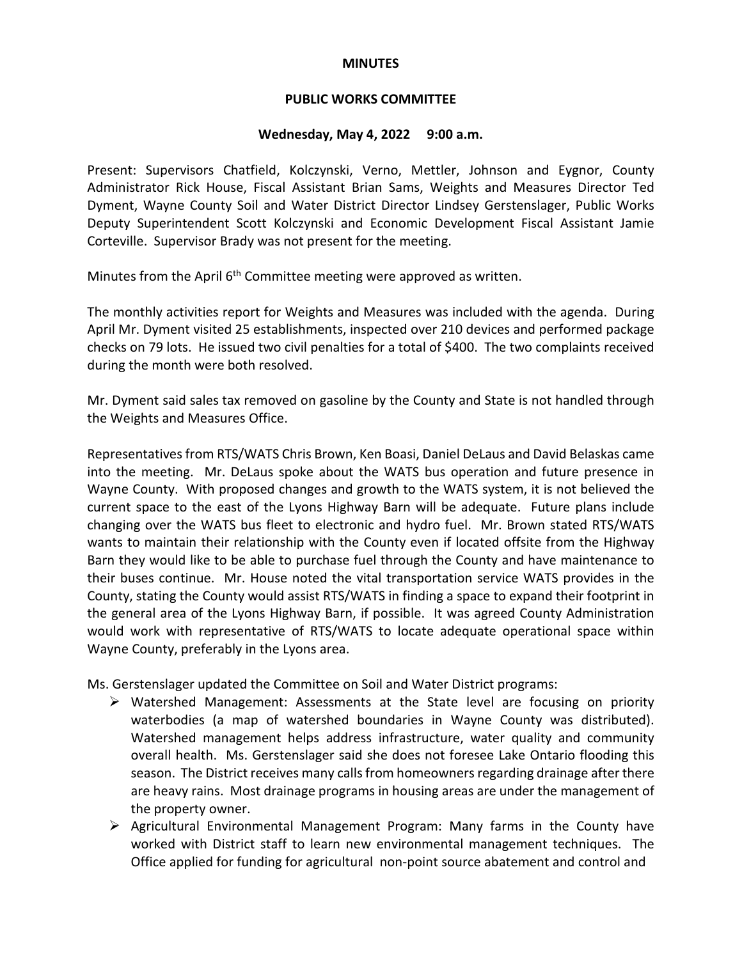### **MINUTES**

### **PUBLIC WORKS COMMITTEE**

#### **Wednesday, May 4, 2022 9:00 a.m.**

Present: Supervisors Chatfield, Kolczynski, Verno, Mettler, Johnson and Eygnor, County Administrator Rick House, Fiscal Assistant Brian Sams, Weights and Measures Director Ted Dyment, Wayne County Soil and Water District Director Lindsey Gerstenslager, Public Works Deputy Superintendent Scott Kolczynski and Economic Development Fiscal Assistant Jamie Corteville. Supervisor Brady was not present for the meeting.

Minutes from the April 6<sup>th</sup> Committee meeting were approved as written.

The monthly activities report for Weights and Measures was included with the agenda. During April Mr. Dyment visited 25 establishments, inspected over 210 devices and performed package checks on 79 lots. He issued two civil penalties for a total of \$400. The two complaints received during the month were both resolved.

Mr. Dyment said sales tax removed on gasoline by the County and State is not handled through the Weights and Measures Office.

Representatives from RTS/WATS Chris Brown, Ken Boasi, Daniel DeLaus and David Belaskas came into the meeting. Mr. DeLaus spoke about the WATS bus operation and future presence in Wayne County. With proposed changes and growth to the WATS system, it is not believed the current space to the east of the Lyons Highway Barn will be adequate. Future plans include changing over the WATS bus fleet to electronic and hydro fuel. Mr. Brown stated RTS/WATS wants to maintain their relationship with the County even if located offsite from the Highway Barn they would like to be able to purchase fuel through the County and have maintenance to their buses continue. Mr. House noted the vital transportation service WATS provides in the County, stating the County would assist RTS/WATS in finding a space to expand their footprint in the general area of the Lyons Highway Barn, if possible. It was agreed County Administration would work with representative of RTS/WATS to locate adequate operational space within Wayne County, preferably in the Lyons area.

Ms. Gerstenslager updated the Committee on Soil and Water District programs:

- $\triangleright$  Watershed Management: Assessments at the State level are focusing on priority waterbodies (a map of watershed boundaries in Wayne County was distributed). Watershed management helps address infrastructure, water quality and community overall health. Ms. Gerstenslager said she does not foresee Lake Ontario flooding this season. The District receives many calls from homeowners regarding drainage after there are heavy rains. Most drainage programs in housing areas are under the management of the property owner.
- $\triangleright$  Agricultural Environmental Management Program: Many farms in the County have worked with District staff to learn new environmental management techniques. The Office applied for funding for agricultural non-point source abatement and control and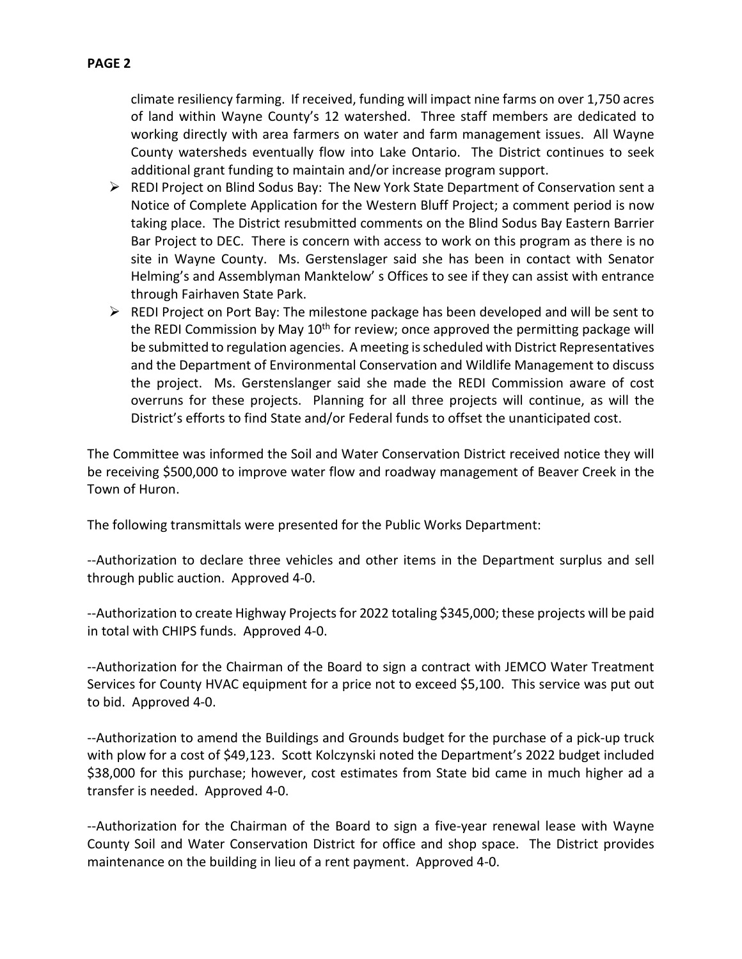- $\triangleright$  REDI Project on Blind Sodus Bay: The New York State Department of Conservation sent a Notice of Complete Application for the Western Bluff Project; a comment period is now taking place. The District resubmitted comments on the Blind Sodus Bay Eastern Barrier Bar Project to DEC. There is concern with access to work on this program as there is no site in Wayne County. Ms. Gerstenslager said she has been in contact with Senator Helming's and Assemblyman Manktelow' s Offices to see if they can assist with entrance through Fairhaven State Park.
- $\triangleright$  REDI Project on Port Bay: The milestone package has been developed and will be sent to the REDI Commission by May 10<sup>th</sup> for review; once approved the permitting package will be submitted to regulation agencies. A meeting isscheduled with District Representatives and the Department of Environmental Conservation and Wildlife Management to discuss the project. Ms. Gerstenslanger said she made the REDI Commission aware of cost overruns for these projects. Planning for all three projects will continue, as will the District's efforts to find State and/or Federal funds to offset the unanticipated cost.

The Committee was informed the Soil and Water Conservation District received notice they will be receiving \$500,000 to improve water flow and roadway management of Beaver Creek in the Town of Huron.

The following transmittals were presented for the Public Works Department:

--Authorization to declare three vehicles and other items in the Department surplus and sell through public auction. Approved 4-0.

--Authorization to create Highway Projects for 2022 totaling \$345,000; these projects will be paid in total with CHIPS funds. Approved 4-0.

--Authorization for the Chairman of the Board to sign a contract with JEMCO Water Treatment Services for County HVAC equipment for a price not to exceed \$5,100. This service was put out to bid. Approved 4-0.

--Authorization to amend the Buildings and Grounds budget for the purchase of a pick-up truck with plow for a cost of \$49,123. Scott Kolczynski noted the Department's 2022 budget included \$38,000 for this purchase; however, cost estimates from State bid came in much higher ad a transfer is needed. Approved 4-0.

--Authorization for the Chairman of the Board to sign a five-year renewal lease with Wayne County Soil and Water Conservation District for office and shop space. The District provides maintenance on the building in lieu of a rent payment. Approved 4-0.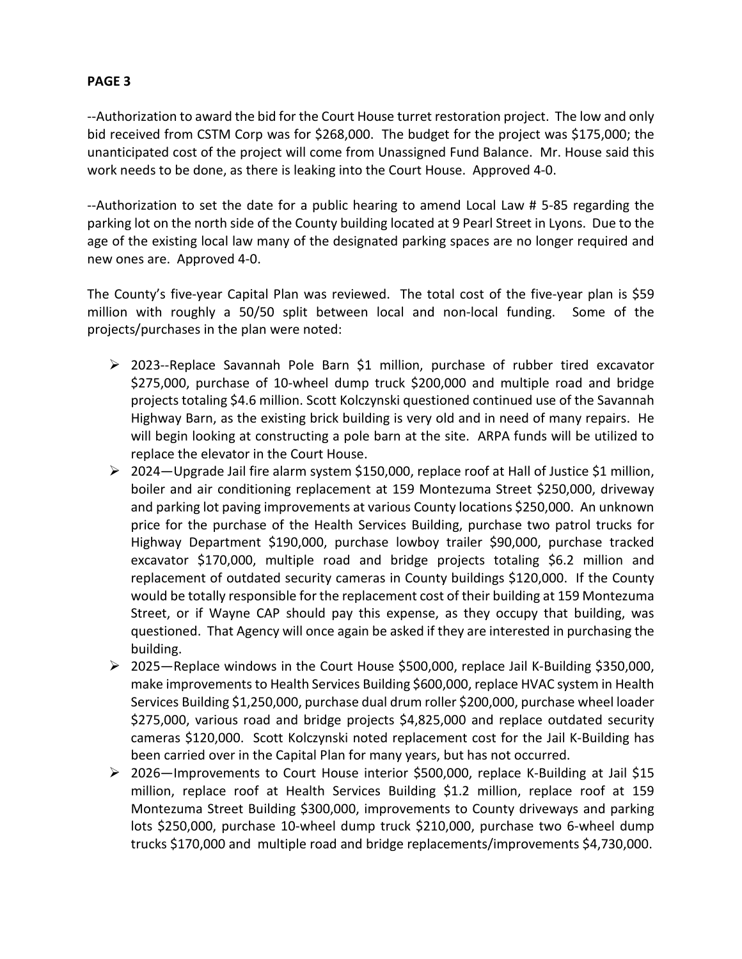## **PAGE 3**

--Authorization to award the bid for the Court House turret restoration project. The low and only bid received from CSTM Corp was for \$268,000. The budget for the project was \$175,000; the unanticipated cost of the project will come from Unassigned Fund Balance. Mr. House said this work needs to be done, as there is leaking into the Court House. Approved 4-0.

--Authorization to set the date for a public hearing to amend Local Law # 5-85 regarding the parking lot on the north side of the County building located at 9 Pearl Street in Lyons. Due to the age of the existing local law many of the designated parking spaces are no longer required and new ones are. Approved 4-0.

The County's five-year Capital Plan was reviewed. The total cost of the five-year plan is \$59 million with roughly a 50/50 split between local and non-local funding. Some of the projects/purchases in the plan were noted:

- $\geq$  2023--Replace Savannah Pole Barn \$1 million, purchase of rubber tired excavator \$275,000, purchase of 10-wheel dump truck \$200,000 and multiple road and bridge projects totaling \$4.6 million. Scott Kolczynski questioned continued use of the Savannah Highway Barn, as the existing brick building is very old and in need of many repairs. He will begin looking at constructing a pole barn at the site. ARPA funds will be utilized to replace the elevator in the Court House.
- $\geq 2024$  Upgrade Jail fire alarm system \$150,000, replace roof at Hall of Justice \$1 million, boiler and air conditioning replacement at 159 Montezuma Street \$250,000, driveway and parking lot paving improvements at various County locations \$250,000. An unknown price for the purchase of the Health Services Building, purchase two patrol trucks for Highway Department \$190,000, purchase lowboy trailer \$90,000, purchase tracked excavator \$170,000, multiple road and bridge projects totaling \$6.2 million and replacement of outdated security cameras in County buildings \$120,000. If the County would be totally responsible for the replacement cost of their building at 159 Montezuma Street, or if Wayne CAP should pay this expense, as they occupy that building, was questioned. That Agency will once again be asked if they are interested in purchasing the building.
- $\geq 2025$ —Replace windows in the Court House \$500,000, replace Jail K-Building \$350,000, make improvements to Health Services Building \$600,000, replace HVAC system in Health Services Building \$1,250,000, purchase dual drum roller \$200,000, purchase wheel loader \$275,000, various road and bridge projects \$4,825,000 and replace outdated security cameras \$120,000. Scott Kolczynski noted replacement cost for the Jail K-Building has been carried over in the Capital Plan for many years, but has not occurred.
- 2026—Improvements to Court House interior \$500,000, replace K-Building at Jail \$15 million, replace roof at Health Services Building \$1.2 million, replace roof at 159 Montezuma Street Building \$300,000, improvements to County driveways and parking lots \$250,000, purchase 10-wheel dump truck \$210,000, purchase two 6-wheel dump trucks \$170,000 and multiple road and bridge replacements/improvements \$4,730,000.